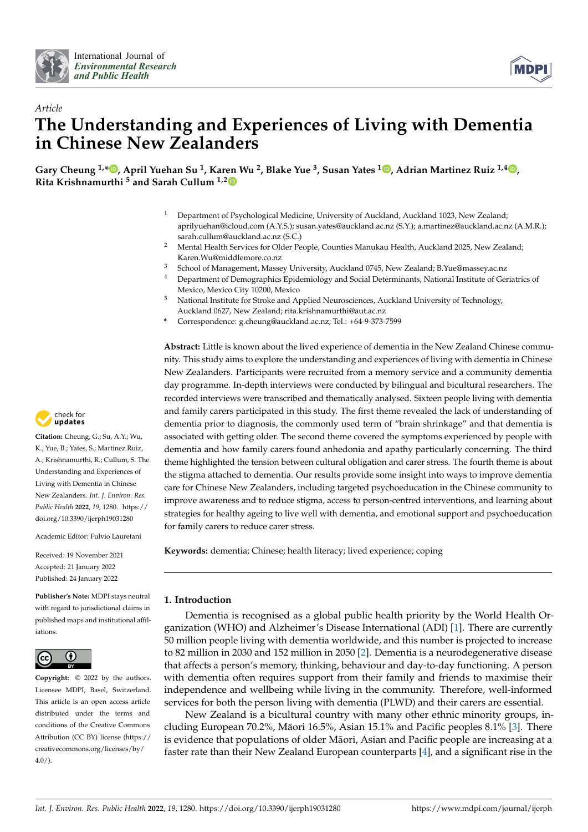



# *Article* **The Understanding and Experiences of Living with Dementia in Chinese New Zealanders**

Gary Cheung <sup>1,</sup>[\\*](https://orcid.org/0000-0002-0239-9356)®, April Yuehan Su <sup>1</sup>, Kar[en](https://orcid.org/0000-0003-0785-9101) Wu <sup>2</sup>[,](https://orcid.org/0000-0003-4974-6674) Blake Yue <sup>3</sup>, Susan Yates <sup>1</sup>®, Adrian Martinez Ruiz <sup>1,4</sup>®, **Rita Krishnamurthi <sup>5</sup> and Sarah Cullum 1,2**

- <sup>1</sup> Department of Psychological Medicine, University of Auckland, Auckland 1023, New Zealand; aprilyuehan@icloud.com (A.Y.S.); susan.yates@auckland.ac.nz (S.Y.); a.martinez@auckland.ac.nz (A.M.R.); sarah.cullum@auckland.ac.nz (S.C.)
- <sup>2</sup> Mental Health Services for Older People, Counties Manukau Health, Auckland 2025, New Zealand; Karen.Wu@middlemore.co.nz
- <sup>3</sup> School of Management, Massey University, Auckland 0745, New Zealand; B.Yue@massey.ac.nz
- <sup>4</sup> Department of Demographics Epidemiology and Social Determinants, National Institute of Geriatrics of Mexico, Mexico City 10200, Mexico
- <sup>5</sup> National Institute for Stroke and Applied Neurosciences, Auckland University of Technology, Auckland 0627, New Zealand; rita.krishnamurthi@aut.ac.nz
- **\*** Correspondence: g.cheung@auckland.ac.nz; Tel.: +64-9-373-7599

**Abstract:** Little is known about the lived experience of dementia in the New Zealand Chinese community. This study aims to explore the understanding and experiences of living with dementia in Chinese New Zealanders. Participants were recruited from a memory service and a community dementia day programme. In-depth interviews were conducted by bilingual and bicultural researchers. The recorded interviews were transcribed and thematically analysed. Sixteen people living with dementia and family carers participated in this study. The first theme revealed the lack of understanding of dementia prior to diagnosis, the commonly used term of "brain shrinkage" and that dementia is associated with getting older. The second theme covered the symptoms experienced by people with dementia and how family carers found anhedonia and apathy particularly concerning. The third theme highlighted the tension between cultural obligation and carer stress. The fourth theme is about the stigma attached to dementia. Our results provide some insight into ways to improve dementia care for Chinese New Zealanders, including targeted psychoeducation in the Chinese community to improve awareness and to reduce stigma, access to person-centred interventions, and learning about strategies for healthy ageing to live well with dementia, and emotional support and psychoeducation for family carers to reduce carer stress.

**Keywords:** dementia; Chinese; health literacy; lived experience; coping

# **1. Introduction**

Dementia is recognised as a global public health priority by the World Health Organization (WHO) and Alzheimer's Disease International (ADI) [\[1\]](#page-11-0). There are currently 50 million people living with dementia worldwide, and this number is projected to increase to 82 million in 2030 and 152 million in 2050 [\[2\]](#page-11-1). Dementia is a neurodegenerative disease that affects a person's memory, thinking, behaviour and day-to-day functioning. A person with dementia often requires support from their family and friends to maximise their independence and wellbeing while living in the community. Therefore, well-informed services for both the person living with dementia (PLWD) and their carers are essential.

New Zealand is a bicultural country with many other ethnic minority groups, in-cluding European 70.2%, Māori 16.5%, Asian 15.1% and Pacific peoples 8.1% [[3\]](#page-11-2). There is evidence that populations of older Māori, Asian and Pacific people are increasing at a faster rate than their New Zealand European counterparts [\[4\]](#page-11-3), and a significant rise in the



**Citation:** Cheung, G.; Su, A.Y.; Wu, K.; Yue, B.; Yates, S.; Martinez Ruiz, A.; Krishnamurthi, R.; Cullum, S. The Understanding and Experiences of Living with Dementia in Chinese New Zealanders. *Int. J. Environ. Res. Public Health* **2022**, *19*, 1280. [https://](https://doi.org/10.3390/ijerph19031280) [doi.org/10.3390/ijerph19031280](https://doi.org/10.3390/ijerph19031280)

Academic Editor: Fulvio Lauretani

Received: 19 November 2021 Accepted: 21 January 2022 Published: 24 January 2022

**Publisher's Note:** MDPI stays neutral with regard to jurisdictional claims in published maps and institutional affiliations.



**Copyright:** © 2022 by the authors. Licensee MDPI, Basel, Switzerland. This article is an open access article distributed under the terms and conditions of the Creative Commons Attribution (CC BY) license [\(https://](https://creativecommons.org/licenses/by/4.0/) [creativecommons.org/licenses/by/](https://creativecommons.org/licenses/by/4.0/)  $4.0/$ ).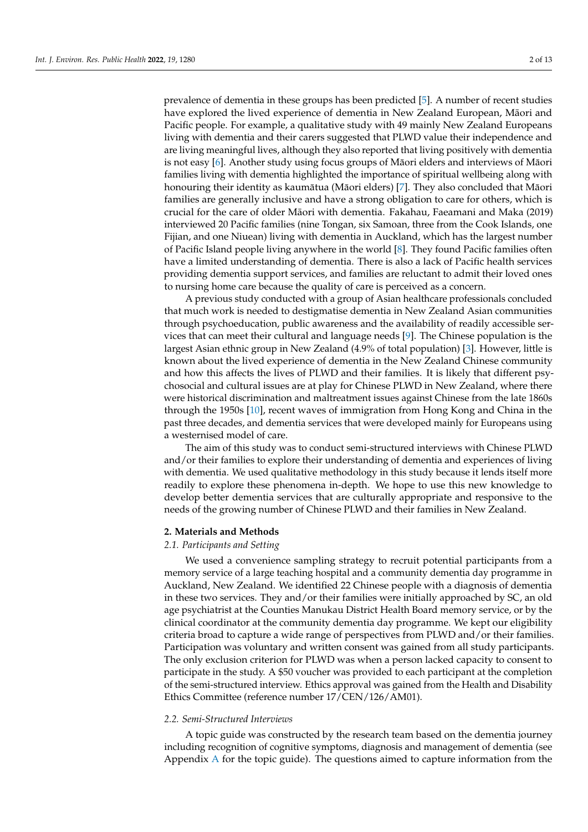prevalence of dementia in these groups has been predicted [\[5\]](#page-11-4). A number of recent studies have explored the lived experience of dementia in New Zealand European, Māori and Pacific people. For example, a qualitative study with 49 mainly New Zealand Europeans living with dementia and their carers suggested that PLWD value their independence and are living meaningful lives, although they also reported that living positively with dementia is not easy  $[6]$ . Another study using focus groups of Maori elders and interviews of Maori families living with dementia highlighted the importance of spiritual wellbeing along with honouring their identity as kaumātua (Māori elders) [[7\]](#page-11-6). They also concluded that Māori families are generally inclusive and have a strong obligation to care for others, which is crucial for the care of older Maori with dementia. Fakahau, Faeamani and Maka (2019) ¯ interviewed 20 Pacific families (nine Tongan, six Samoan, three from the Cook Islands, one Fijian, and one Niuean) living with dementia in Auckland, which has the largest number of Pacific Island people living anywhere in the world [\[8\]](#page-11-7). They found Pacific families often have a limited understanding of dementia. There is also a lack of Pacific health services providing dementia support services, and families are reluctant to admit their loved ones to nursing home care because the quality of care is perceived as a concern.

A previous study conducted with a group of Asian healthcare professionals concluded that much work is needed to destigmatise dementia in New Zealand Asian communities through psychoeducation, public awareness and the availability of readily accessible services that can meet their cultural and language needs [\[9\]](#page-11-8). The Chinese population is the largest Asian ethnic group in New Zealand (4.9% of total population) [\[3\]](#page-11-2). However, little is known about the lived experience of dementia in the New Zealand Chinese community and how this affects the lives of PLWD and their families. It is likely that different psychosocial and cultural issues are at play for Chinese PLWD in New Zealand, where there were historical discrimination and maltreatment issues against Chinese from the late 1860s through the 1950s [\[10\]](#page-11-9), recent waves of immigration from Hong Kong and China in the past three decades, and dementia services that were developed mainly for Europeans using a westernised model of care.

The aim of this study was to conduct semi-structured interviews with Chinese PLWD and/or their families to explore their understanding of dementia and experiences of living with dementia. We used qualitative methodology in this study because it lends itself more readily to explore these phenomena in-depth. We hope to use this new knowledge to develop better dementia services that are culturally appropriate and responsive to the needs of the growing number of Chinese PLWD and their families in New Zealand.

#### **2. Materials and Methods**

## *2.1. Participants and Setting*

We used a convenience sampling strategy to recruit potential participants from a memory service of a large teaching hospital and a community dementia day programme in Auckland, New Zealand. We identified 22 Chinese people with a diagnosis of dementia in these two services. They and/or their families were initially approached by SC, an old age psychiatrist at the Counties Manukau District Health Board memory service, or by the clinical coordinator at the community dementia day programme. We kept our eligibility criteria broad to capture a wide range of perspectives from PLWD and/or their families. Participation was voluntary and written consent was gained from all study participants. The only exclusion criterion for PLWD was when a person lacked capacity to consent to participate in the study. A \$50 voucher was provided to each participant at the completion of the semi-structured interview. Ethics approval was gained from the Health and Disability Ethics Committee (reference number 17/CEN/126/AM01).

## *2.2. Semi-Structured Interviews*

A topic guide was constructed by the research team based on the dementia journey including recognition of cognitive symptoms, diagnosis and management of dementia (see Appendix [A](#page-10-0) for the topic guide). The questions aimed to capture information from the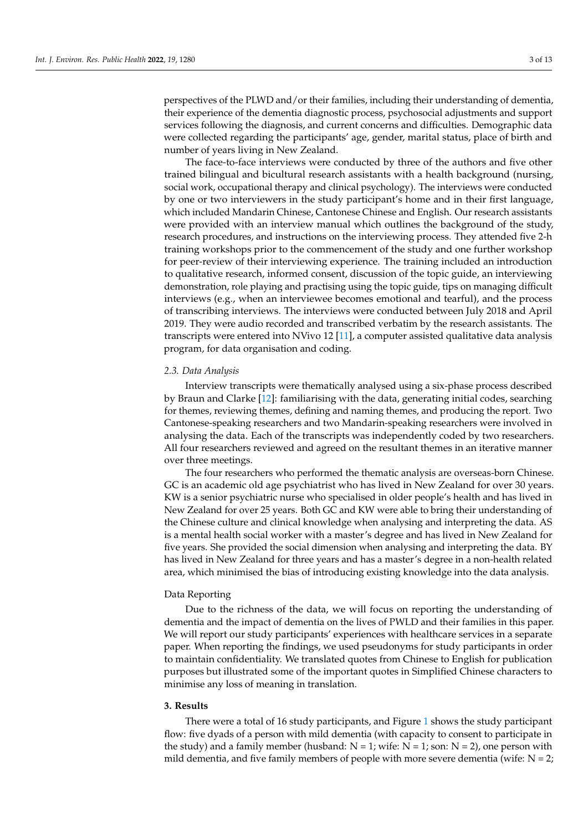perspectives of the PLWD and/or their families, including their understanding of dementia, their experience of the dementia diagnostic process, psychosocial adjustments and support services following the diagnosis, and current concerns and difficulties. Demographic data were collected regarding the participants' age, gender, marital status, place of birth and number of years living in New Zealand.

The face-to-face interviews were conducted by three of the authors and five other trained bilingual and bicultural research assistants with a health background (nursing, social work, occupational therapy and clinical psychology). The interviews were conducted by one or two interviewers in the study participant's home and in their first language, which included Mandarin Chinese, Cantonese Chinese and English. Our research assistants were provided with an interview manual which outlines the background of the study, research procedures, and instructions on the interviewing process. They attended five 2-h training workshops prior to the commencement of the study and one further workshop for peer-review of their interviewing experience. The training included an introduction to qualitative research, informed consent, discussion of the topic guide, an interviewing demonstration, role playing and practising using the topic guide, tips on managing difficult interviews (e.g., when an interviewee becomes emotional and tearful), and the process of transcribing interviews. The interviews were conducted between July 2018 and April 2019. They were audio recorded and transcribed verbatim by the research assistants. The transcripts were entered into NVivo 12 [\[11\]](#page-11-10), a computer assisted qualitative data analysis program, for data organisation and coding.

## *2.3. Data Analysis*

Interview transcripts were thematically analysed using a six-phase process described by Braun and Clarke [\[12\]](#page-11-11): familiarising with the data, generating initial codes, searching for themes, reviewing themes, defining and naming themes, and producing the report. Two Cantonese-speaking researchers and two Mandarin-speaking researchers were involved in analysing the data. Each of the transcripts was independently coded by two researchers. All four researchers reviewed and agreed on the resultant themes in an iterative manner over three meetings.

The four researchers who performed the thematic analysis are overseas-born Chinese. GC is an academic old age psychiatrist who has lived in New Zealand for over 30 years. KW is a senior psychiatric nurse who specialised in older people's health and has lived in New Zealand for over 25 years. Both GC and KW were able to bring their understanding of the Chinese culture and clinical knowledge when analysing and interpreting the data. AS is a mental health social worker with a master's degree and has lived in New Zealand for five years. She provided the social dimension when analysing and interpreting the data. BY has lived in New Zealand for three years and has a master's degree in a non-health related area, which minimised the bias of introducing existing knowledge into the data analysis.

#### Data Reporting

Due to the richness of the data, we will focus on reporting the understanding of dementia and the impact of dementia on the lives of PWLD and their families in this paper. We will report our study participants' experiences with healthcare services in a separate paper. When reporting the findings, we used pseudonyms for study participants in order to maintain confidentiality. We translated quotes from Chinese to English for publication purposes but illustrated some of the important quotes in Simplified Chinese characters to minimise any loss of meaning in translation.

## **3. Results**

There were a total of 16 study participants, and Figure [1](#page-3-0) shows the study participant flow: five dyads of a person with mild dementia (with capacity to consent to participate in the study) and a family member (husband:  $N = 1$ ; wife:  $N = 1$ ; son:  $N = 2$ ), one person with mild dementia, and five family members of people with more severe dementia (wife:  $N = 2$ ;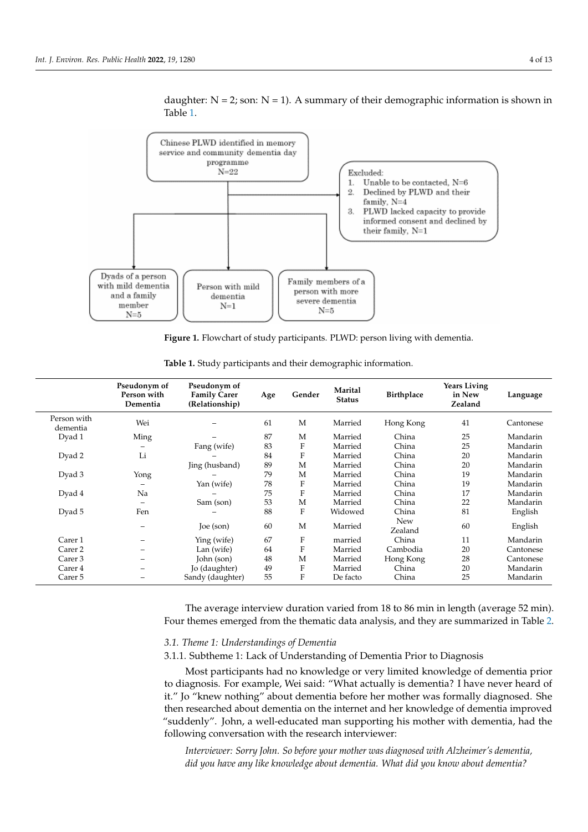

<span id="page-3-0"></span>daughter:  $N = 2$ ; son:  $N = 1$ ). A summary of their demographic information is shown in Table [1.](#page-3-1)

**Figure 1.** Flowchart of study participants. PLWD: person living with dementia.

|                         | Pseudonym of<br>Person with<br>Dementia | Pseudonym of<br><b>Family Carer</b><br>(Relationship) | Age | Gender      | Marital<br><b>Status</b> | <b>Birthplace</b>     | <b>Years Living</b><br>in New<br>Zealand | Language  |
|-------------------------|-----------------------------------------|-------------------------------------------------------|-----|-------------|--------------------------|-----------------------|------------------------------------------|-----------|
| Person with<br>dementia | Wei                                     |                                                       | 61  | M           | Married                  | Hong Kong             | 41                                       | Cantonese |
| Dyad 1                  | Ming                                    |                                                       | 87  | M           | Married                  | China                 | 25                                       | Mandarin  |
|                         |                                         | Fang (wife)                                           | 83  | F           | Married                  | China                 | 25                                       | Mandarin  |
| Dyad 2                  | Li                                      |                                                       | 84  | F           | Married                  | China                 | 20                                       | Mandarin  |
|                         |                                         | Jing (husband)                                        | 89  | M           | Married                  | China                 | 20                                       | Mandarin  |
| Dyad 3                  | Yong                                    |                                                       | 79  | M           | Married                  | China                 | 19                                       | Mandarin  |
|                         |                                         | Yan (wife)                                            | 78  | F           | Married                  | China                 | 19                                       | Mandarin  |
| Dyad 4                  | Na                                      |                                                       | 75  | F           | Married                  | China                 | 17                                       | Mandarin  |
|                         |                                         | Sam (son)                                             | 53  | M           | Married                  | China                 | 22                                       | Mandarin  |
| Dyad 5                  | Fen                                     |                                                       | 88  | F           | Widowed                  | China                 | 81                                       | English   |
|                         |                                         | Joe (son)                                             | 60  | M           | Married                  | <b>New</b><br>Zealand | 60                                       | English   |
| Carer 1                 |                                         | Ying (wife)                                           | 67  | F           | married                  | China                 | 11                                       | Mandarin  |
| Carer 2                 |                                         | Lan (wife)                                            | 64  | $\mathbf F$ | Married                  | Cambodia              | 20                                       | Cantonese |
| Carer 3                 |                                         | John (son)                                            | 48  | M           | Married                  | Hong Kong             | 28                                       | Cantonese |
| Carer 4                 |                                         | Jo (daughter)                                         | 49  | F           | Married                  | China                 | 20                                       | Mandarin  |
| Carer 5                 |                                         | Sandy (daughter)                                      | 55  | F           | De facto                 | China                 | 25                                       | Mandarin  |

<span id="page-3-1"></span>**Table 1.** Study participants and their demographic information.

The average interview duration varied from 18 to 86 min in length (average 52 min). Four themes emerged from the thematic data analysis, and they are summarized in Table [2.](#page-4-0)

## *3.1. Theme 1: Understandings of Dementia*

3.1.1. Subtheme 1: Lack of Understanding of Dementia Prior to Diagnosis

Most participants had no knowledge or very limited knowledge of dementia prior to diagnosis. For example, Wei said: "What actually is dementia? I have never heard of it." Jo "knew nothing" about dementia before her mother was formally diagnosed. She then researched about dementia on the internet and her knowledge of dementia improved "suddenly". John, a well-educated man supporting his mother with dementia, had the following conversation with the research interviewer:

*Interviewer: Sorry John. So before your mother was diagnosed with Alzheimer's dementia, did you have any like knowledge about dementia. What did you know about dementia?*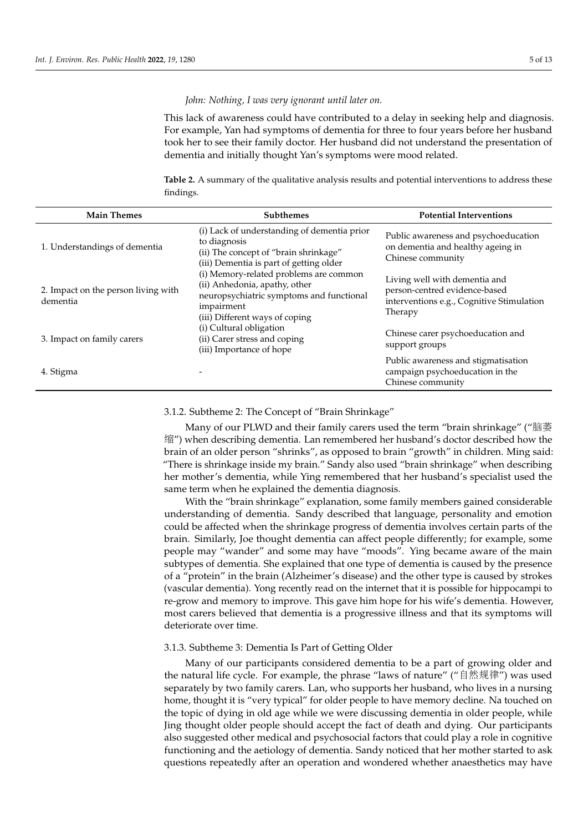*John: Nothing, I was very ignorant until later on.*

This lack of awareness could have contributed to a delay in seeking help and diagnosis. For example, Yan had symptoms of dementia for three to four years before her husband took her to see their family doctor. Her husband did not understand the presentation of dementia and initially thought Yan's symptoms were mood related.

<span id="page-4-0"></span>**Table 2.** A summary of the qualitative analysis results and potential interventions to address these findings.

| <b>Main Themes</b>                              | <b>Subthemes</b>                                                                                                                                                    | <b>Potential Interventions</b>                                                                                         |  |
|-------------------------------------------------|---------------------------------------------------------------------------------------------------------------------------------------------------------------------|------------------------------------------------------------------------------------------------------------------------|--|
| 1. Understandings of dementia                   | (i) Lack of understanding of dementia prior<br>to diagnosis<br>(ii) The concept of "brain shrinkage"<br>(iii) Dementia is part of getting older                     | Public awareness and psychoeducation<br>on dementia and healthy ageing in<br>Chinese community                         |  |
| 2. Impact on the person living with<br>dementia | (i) Memory-related problems are common<br>(ii) Anhedonia, apathy, other<br>neuropsychiatric symptoms and functional<br>impairment<br>(iii) Different ways of coping | Living well with dementia and<br>person-centred evidence-based<br>interventions e.g., Cognitive Stimulation<br>Therapy |  |
| 3. Impact on family carers                      | (i) Cultural obligation<br>(ii) Carer stress and coping<br>(iii) Importance of hope                                                                                 | Chinese carer psychoeducation and<br>support groups                                                                    |  |
| 4. Stigma                                       |                                                                                                                                                                     | Public awareness and stigmatisation<br>campaign psychoeducation in the<br>Chinese community                            |  |

3.1.2. Subtheme 2: The Concept of "Brain Shrinkage"

Many of our PLWD and their family carers used the term "brain shrinkage" ("脑<sup>萎</sup> 缩") when describing dementia. Lan remembered her husband's doctor described how the brain of an older person "shrinks", as opposed to brain "growth" in children. Ming said: "There is shrinkage inside my brain." Sandy also used "brain shrinkage" when describing her mother's dementia, while Ying remembered that her husband's specialist used the same term when he explained the dementia diagnosis.

With the "brain shrinkage" explanation, some family members gained considerable understanding of dementia. Sandy described that language, personality and emotion could be affected when the shrinkage progress of dementia involves certain parts of the brain. Similarly, Joe thought dementia can affect people differently; for example, some people may "wander" and some may have "moods". Ying became aware of the main subtypes of dementia. She explained that one type of dementia is caused by the presence of a "protein" in the brain (Alzheimer's disease) and the other type is caused by strokes (vascular dementia). Yong recently read on the internet that it is possible for hippocampi to re-grow and memory to improve. This gave him hope for his wife's dementia. However, most carers believed that dementia is a progressive illness and that its symptoms will deteriorate over time.

#### 3.1.3. Subtheme 3: Dementia Is Part of Getting Older

Many of our participants considered dementia to be a part of growing older and the natural life cycle. For example, the phrase "laws of nature" ("自然规律") was used separately by two family carers. Lan, who supports her husband, who lives in a nursing home, thought it is "very typical" for older people to have memory decline. Na touched on the topic of dying in old age while we were discussing dementia in older people, while Jing thought older people should accept the fact of death and dying. Our participants also suggested other medical and psychosocial factors that could play a role in cognitive functioning and the aetiology of dementia. Sandy noticed that her mother started to ask questions repeatedly after an operation and wondered whether anaesthetics may have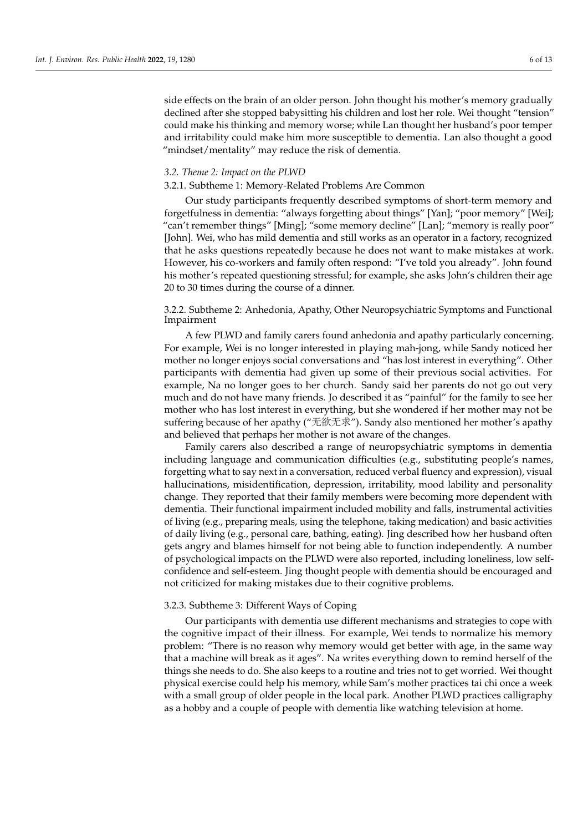side effects on the brain of an older person. John thought his mother's memory gradually declined after she stopped babysitting his children and lost her role. Wei thought "tension" could make his thinking and memory worse; while Lan thought her husband's poor temper and irritability could make him more susceptible to dementia. Lan also thought a good "mindset/mentality" may reduce the risk of dementia.

## *3.2. Theme 2: Impact on the PLWD*

#### 3.2.1. Subtheme 1: Memory-Related Problems Are Common

Our study participants frequently described symptoms of short-term memory and forgetfulness in dementia: "always forgetting about things" [Yan]; "poor memory" [Wei]; "can't remember things" [Ming]; "some memory decline" [Lan]; "memory is really poor" [John]. Wei, who has mild dementia and still works as an operator in a factory, recognized that he asks questions repeatedly because he does not want to make mistakes at work. However, his co-workers and family often respond: "I've told you already". John found his mother's repeated questioning stressful; for example, she asks John's children their age 20 to 30 times during the course of a dinner.

## 3.2.2. Subtheme 2: Anhedonia, Apathy, Other Neuropsychiatric Symptoms and Functional Impairment

A few PLWD and family carers found anhedonia and apathy particularly concerning. For example, Wei is no longer interested in playing mah-jong, while Sandy noticed her mother no longer enjoys social conversations and "has lost interest in everything". Other participants with dementia had given up some of their previous social activities. For example, Na no longer goes to her church. Sandy said her parents do not go out very much and do not have many friends. Jo described it as "painful" for the family to see her mother who has lost interest in everything, but she wondered if her mother may not be suffering because of her apathy ("无欲无求"). Sandy also mentioned her mother's apathy and believed that perhaps her mother is not aware of the changes.

Family carers also described a range of neuropsychiatric symptoms in dementia including language and communication difficulties (e.g., substituting people's names, forgetting what to say next in a conversation, reduced verbal fluency and expression), visual hallucinations, misidentification, depression, irritability, mood lability and personality change. They reported that their family members were becoming more dependent with dementia. Their functional impairment included mobility and falls, instrumental activities of living (e.g., preparing meals, using the telephone, taking medication) and basic activities of daily living (e.g., personal care, bathing, eating). Jing described how her husband often gets angry and blames himself for not being able to function independently. A number of psychological impacts on the PLWD were also reported, including loneliness, low selfconfidence and self-esteem. Jing thought people with dementia should be encouraged and not criticized for making mistakes due to their cognitive problems.

#### 3.2.3. Subtheme 3: Different Ways of Coping

Our participants with dementia use different mechanisms and strategies to cope with the cognitive impact of their illness. For example, Wei tends to normalize his memory problem: "There is no reason why memory would get better with age, in the same way that a machine will break as it ages". Na writes everything down to remind herself of the things she needs to do. She also keeps to a routine and tries not to get worried. Wei thought physical exercise could help his memory, while Sam's mother practices tai chi once a week with a small group of older people in the local park. Another PLWD practices calligraphy as a hobby and a couple of people with dementia like watching television at home.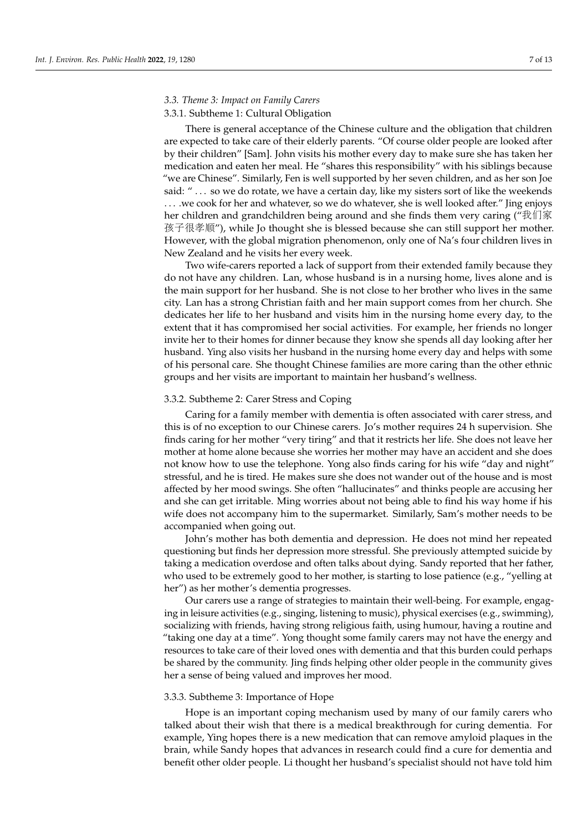## *3.3. Theme 3: Impact on Family Carers*

## 3.3.1. Subtheme 1: Cultural Obligation

There is general acceptance of the Chinese culture and the obligation that children are expected to take care of their elderly parents. "Of course older people are looked after by their children" [Sam]. John visits his mother every day to make sure she has taken her medication and eaten her meal. He "shares this responsibility" with his siblings because "we are Chinese". Similarly, Fen is well supported by her seven children, and as her son Joe said: " . . . so we do rotate, we have a certain day, like my sisters sort of like the weekends . . . .we cook for her and whatever, so we do whatever, she is well looked after." Jing enjoys her children and grandchildren being around and she finds them very caring ("我们家 孩子很孝顺"), while Jo thought she is blessed because she can still support her mother. However, with the global migration phenomenon, only one of Na's four children lives in New Zealand and he visits her every week.

Two wife-carers reported a lack of support from their extended family because they do not have any children. Lan, whose husband is in a nursing home, lives alone and is the main support for her husband. She is not close to her brother who lives in the same city. Lan has a strong Christian faith and her main support comes from her church. She dedicates her life to her husband and visits him in the nursing home every day, to the extent that it has compromised her social activities. For example, her friends no longer invite her to their homes for dinner because they know she spends all day looking after her husband. Ying also visits her husband in the nursing home every day and helps with some of his personal care. She thought Chinese families are more caring than the other ethnic groups and her visits are important to maintain her husband's wellness.

## 3.3.2. Subtheme 2: Carer Stress and Coping

Caring for a family member with dementia is often associated with carer stress, and this is of no exception to our Chinese carers. Jo's mother requires 24 h supervision. She finds caring for her mother "very tiring" and that it restricts her life. She does not leave her mother at home alone because she worries her mother may have an accident and she does not know how to use the telephone. Yong also finds caring for his wife "day and night" stressful, and he is tired. He makes sure she does not wander out of the house and is most affected by her mood swings. She often "hallucinates" and thinks people are accusing her and she can get irritable. Ming worries about not being able to find his way home if his wife does not accompany him to the supermarket. Similarly, Sam's mother needs to be accompanied when going out.

John's mother has both dementia and depression. He does not mind her repeated questioning but finds her depression more stressful. She previously attempted suicide by taking a medication overdose and often talks about dying. Sandy reported that her father, who used to be extremely good to her mother, is starting to lose patience (e.g., "yelling at her") as her mother's dementia progresses.

Our carers use a range of strategies to maintain their well-being. For example, engaging in leisure activities (e.g., singing, listening to music), physical exercises (e.g., swimming), socializing with friends, having strong religious faith, using humour, having a routine and "taking one day at a time". Yong thought some family carers may not have the energy and resources to take care of their loved ones with dementia and that this burden could perhaps be shared by the community. Jing finds helping other older people in the community gives her a sense of being valued and improves her mood.

#### 3.3.3. Subtheme 3: Importance of Hope

Hope is an important coping mechanism used by many of our family carers who talked about their wish that there is a medical breakthrough for curing dementia. For example, Ying hopes there is a new medication that can remove amyloid plaques in the brain, while Sandy hopes that advances in research could find a cure for dementia and benefit other older people. Li thought her husband's specialist should not have told him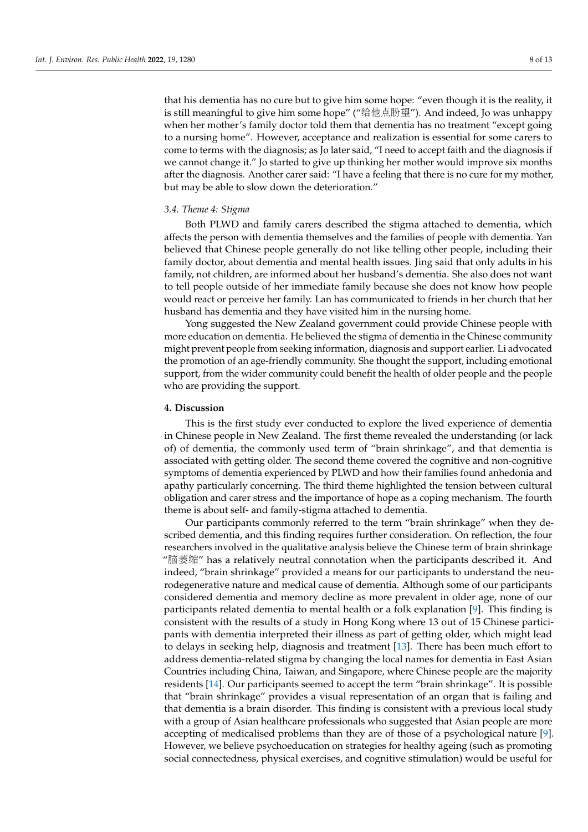that his dementia has no cure but to give him some hope: "even though it is the reality, it is still meaningful to give him some hope" ("给他点盼望"). And indeed, Jo was unhappy when her mother's family doctor told them that dementia has no treatment "except going to a nursing home". However, acceptance and realization is essential for some carers to come to terms with the diagnosis; as Jo later said, "I need to accept faith and the diagnosis if we cannot change it." Jo started to give up thinking her mother would improve six months after the diagnosis. Another carer said: "I have a feeling that there is no cure for my mother, but may be able to slow down the deterioration."

## *3.4. Theme 4: Stigma*

Both PLWD and family carers described the stigma attached to dementia, which affects the person with dementia themselves and the families of people with dementia. Yan believed that Chinese people generally do not like telling other people, including their family doctor, about dementia and mental health issues. Jing said that only adults in his family, not children, are informed about her husband's dementia. She also does not want to tell people outside of her immediate family because she does not know how people would react or perceive her family. Lan has communicated to friends in her church that her husband has dementia and they have visited him in the nursing home.

Yong suggested the New Zealand government could provide Chinese people with more education on dementia. He believed the stigma of dementia in the Chinese community might prevent people from seeking information, diagnosis and support earlier. Li advocated the promotion of an age-friendly community. She thought the support, including emotional support, from the wider community could benefit the health of older people and the people who are providing the support.

## **4. Discussion**

This is the first study ever conducted to explore the lived experience of dementia in Chinese people in New Zealand. The first theme revealed the understanding (or lack of) of dementia, the commonly used term of "brain shrinkage", and that dementia is associated with getting older. The second theme covered the cognitive and non-cognitive symptoms of dementia experienced by PLWD and how their families found anhedonia and apathy particularly concerning. The third theme highlighted the tension between cultural obligation and carer stress and the importance of hope as a coping mechanism. The fourth theme is about self- and family-stigma attached to dementia.

Our participants commonly referred to the term "brain shrinkage" when they described dementia, and this finding requires further consideration. On reflection, the four researchers involved in the qualitative analysis believe the Chinese term of brain shrinkage "脑萎缩" has a relatively neutral connotation when the participants described it. And indeed, "brain shrinkage" provided a means for our participants to understand the neurodegenerative nature and medical cause of dementia. Although some of our participants considered dementia and memory decline as more prevalent in older age, none of our participants related dementia to mental health or a folk explanation [\[9\]](#page-11-8). This finding is consistent with the results of a study in Hong Kong where 13 out of 15 Chinese participants with dementia interpreted their illness as part of getting older, which might lead to delays in seeking help, diagnosis and treatment [\[13\]](#page-11-12). There has been much effort to address dementia-related stigma by changing the local names for dementia in East Asian Countries including China, Taiwan, and Singapore, where Chinese people are the majority residents [\[14\]](#page-11-13). Our participants seemed to accept the term "brain shrinkage". It is possible that "brain shrinkage" provides a visual representation of an organ that is failing and that dementia is a brain disorder. This finding is consistent with a previous local study with a group of Asian healthcare professionals who suggested that Asian people are more accepting of medicalised problems than they are of those of a psychological nature [\[9\]](#page-11-8). However, we believe psychoeducation on strategies for healthy ageing (such as promoting social connectedness, physical exercises, and cognitive stimulation) would be useful for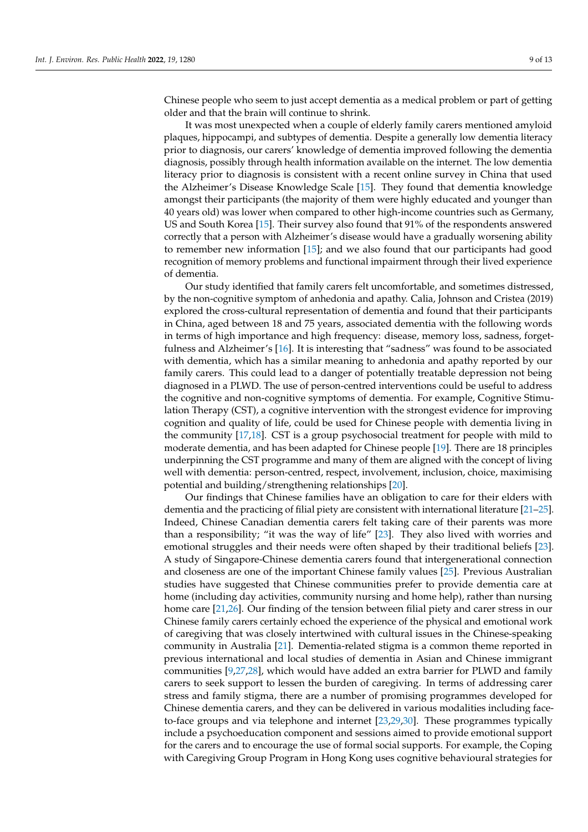Chinese people who seem to just accept dementia as a medical problem or part of getting older and that the brain will continue to shrink.

It was most unexpected when a couple of elderly family carers mentioned amyloid plaques, hippocampi, and subtypes of dementia. Despite a generally low dementia literacy prior to diagnosis, our carers' knowledge of dementia improved following the dementia diagnosis, possibly through health information available on the internet. The low dementia literacy prior to diagnosis is consistent with a recent online survey in China that used the Alzheimer's Disease Knowledge Scale [\[15\]](#page-11-14). They found that dementia knowledge amongst their participants (the majority of them were highly educated and younger than 40 years old) was lower when compared to other high-income countries such as Germany, US and South Korea [\[15\]](#page-11-14). Their survey also found that 91% of the respondents answered correctly that a person with Alzheimer's disease would have a gradually worsening ability to remember new information [\[15\]](#page-11-14); and we also found that our participants had good recognition of memory problems and functional impairment through their lived experience of dementia.

Our study identified that family carers felt uncomfortable, and sometimes distressed, by the non-cognitive symptom of anhedonia and apathy. Calia, Johnson and Cristea (2019) explored the cross-cultural representation of dementia and found that their participants in China, aged between 18 and 75 years, associated dementia with the following words in terms of high importance and high frequency: disease, memory loss, sadness, forgetfulness and Alzheimer's [\[16\]](#page-11-15). It is interesting that "sadness" was found to be associated with dementia, which has a similar meaning to anhedonia and apathy reported by our family carers. This could lead to a danger of potentially treatable depression not being diagnosed in a PLWD. The use of person-centred interventions could be useful to address the cognitive and non-cognitive symptoms of dementia. For example, Cognitive Stimulation Therapy (CST), a cognitive intervention with the strongest evidence for improving cognition and quality of life, could be used for Chinese people with dementia living in the community [\[17](#page-11-16)[,18\]](#page-11-17). CST is a group psychosocial treatment for people with mild to moderate dementia, and has been adapted for Chinese people [\[19\]](#page-12-0). There are 18 principles underpinning the CST programme and many of them are aligned with the concept of living well with dementia: person-centred, respect, involvement, inclusion, choice, maximising potential and building/strengthening relationships [\[20\]](#page-12-1).

Our findings that Chinese families have an obligation to care for their elders with dementia and the practicing of filial piety are consistent with international literature [\[21](#page-12-2)[–25\]](#page-12-3). Indeed, Chinese Canadian dementia carers felt taking care of their parents was more than a responsibility; "it was the way of life" [\[23\]](#page-12-4). They also lived with worries and emotional struggles and their needs were often shaped by their traditional beliefs [\[23\]](#page-12-4). A study of Singapore-Chinese dementia carers found that intergenerational connection and closeness are one of the important Chinese family values [\[25\]](#page-12-3). Previous Australian studies have suggested that Chinese communities prefer to provide dementia care at home (including day activities, community nursing and home help), rather than nursing home care [\[21,](#page-12-2)[26\]](#page-12-5). Our finding of the tension between filial piety and carer stress in our Chinese family carers certainly echoed the experience of the physical and emotional work of caregiving that was closely intertwined with cultural issues in the Chinese-speaking community in Australia [\[21\]](#page-12-2). Dementia-related stigma is a common theme reported in previous international and local studies of dementia in Asian and Chinese immigrant communities [\[9,](#page-11-8)[27,](#page-12-6)[28\]](#page-12-7), which would have added an extra barrier for PLWD and family carers to seek support to lessen the burden of caregiving. In terms of addressing carer stress and family stigma, there are a number of promising programmes developed for Chinese dementia carers, and they can be delivered in various modalities including faceto-face groups and via telephone and internet [\[23,](#page-12-4)[29,](#page-12-8)[30\]](#page-12-9). These programmes typically include a psychoeducation component and sessions aimed to provide emotional support for the carers and to encourage the use of formal social supports. For example, the Coping with Caregiving Group Program in Hong Kong uses cognitive behavioural strategies for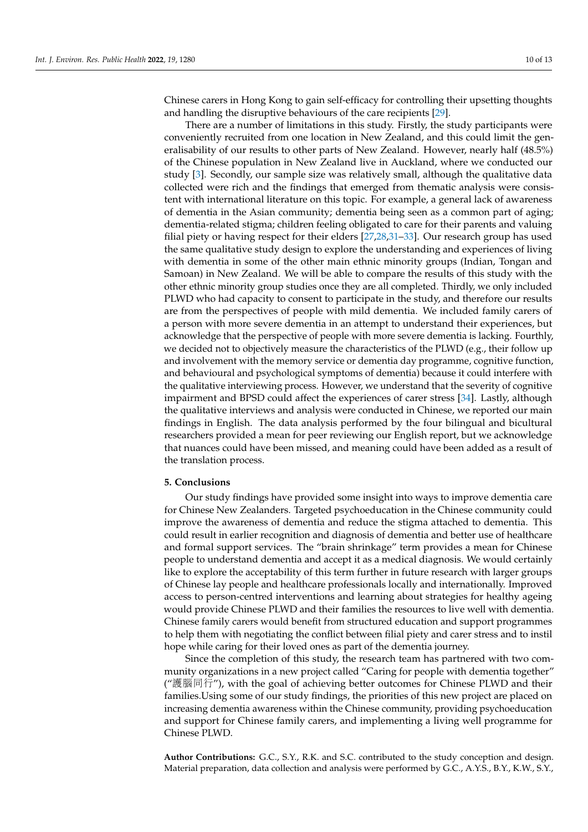Chinese carers in Hong Kong to gain self-efficacy for controlling their upsetting thoughts and handling the disruptive behaviours of the care recipients [\[29\]](#page-12-8).

There are a number of limitations in this study. Firstly, the study participants were conveniently recruited from one location in New Zealand, and this could limit the generalisability of our results to other parts of New Zealand. However, nearly half (48.5%) of the Chinese population in New Zealand live in Auckland, where we conducted our study [\[3\]](#page-11-2). Secondly, our sample size was relatively small, although the qualitative data collected were rich and the findings that emerged from thematic analysis were consistent with international literature on this topic. For example, a general lack of awareness of dementia in the Asian community; dementia being seen as a common part of aging; dementia-related stigma; children feeling obligated to care for their parents and valuing filial piety or having respect for their elders [\[27](#page-12-6)[,28](#page-12-7)[,31–](#page-12-10)[33\]](#page-12-11). Our research group has used the same qualitative study design to explore the understanding and experiences of living with dementia in some of the other main ethnic minority groups (Indian, Tongan and Samoan) in New Zealand. We will be able to compare the results of this study with the other ethnic minority group studies once they are all completed. Thirdly, we only included PLWD who had capacity to consent to participate in the study, and therefore our results are from the perspectives of people with mild dementia. We included family carers of a person with more severe dementia in an attempt to understand their experiences, but acknowledge that the perspective of people with more severe dementia is lacking. Fourthly, we decided not to objectively measure the characteristics of the PLWD (e.g., their follow up and involvement with the memory service or dementia day programme, cognitive function, and behavioural and psychological symptoms of dementia) because it could interfere with the qualitative interviewing process. However, we understand that the severity of cognitive impairment and BPSD could affect the experiences of carer stress [\[34\]](#page-12-12). Lastly, although the qualitative interviews and analysis were conducted in Chinese, we reported our main findings in English. The data analysis performed by the four bilingual and bicultural researchers provided a mean for peer reviewing our English report, but we acknowledge that nuances could have been missed, and meaning could have been added as a result of the translation process.

## **5. Conclusions**

Our study findings have provided some insight into ways to improve dementia care for Chinese New Zealanders. Targeted psychoeducation in the Chinese community could improve the awareness of dementia and reduce the stigma attached to dementia. This could result in earlier recognition and diagnosis of dementia and better use of healthcare and formal support services. The "brain shrinkage" term provides a mean for Chinese people to understand dementia and accept it as a medical diagnosis. We would certainly like to explore the acceptability of this term further in future research with larger groups of Chinese lay people and healthcare professionals locally and internationally. Improved access to person-centred interventions and learning about strategies for healthy ageing would provide Chinese PLWD and their families the resources to live well with dementia. Chinese family carers would benefit from structured education and support programmes to help them with negotiating the conflict between filial piety and carer stress and to instil hope while caring for their loved ones as part of the dementia journey.

Since the completion of this study, the research team has partnered with two community organizations in a new project called "Caring for people with dementia together" ("護腦同行"), with the goal of achieving better outcomes for Chinese PLWD and their families.Using some of our study findings, the priorities of this new project are placed on increasing dementia awareness within the Chinese community, providing psychoeducation and support for Chinese family carers, and implementing a living well programme for Chinese PLWD.

**Author Contributions:** G.C., S.Y., R.K. and S.C. contributed to the study conception and design. Material preparation, data collection and analysis were performed by G.C., A.Y.S., B.Y., K.W., S.Y.,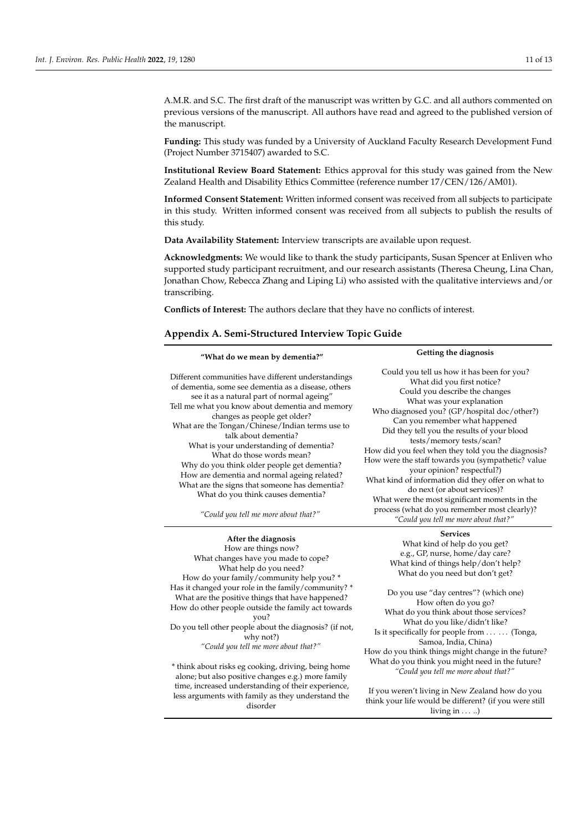A.M.R. and S.C. The first draft of the manuscript was written by G.C. and all authors commented on previous versions of the manuscript. All authors have read and agreed to the published version of the manuscript.

**Funding:** This study was funded by a University of Auckland Faculty Research Development Fund (Project Number 3715407) awarded to S.C.

**Institutional Review Board Statement:** Ethics approval for this study was gained from the New Zealand Health and Disability Ethics Committee (reference number 17/CEN/126/AM01).

**Informed Consent Statement:** Written informed consent was received from all subjects to participate in this study. Written informed consent was received from all subjects to publish the results of this study.

**Data Availability Statement:** Interview transcripts are available upon request.

**Acknowledgments:** We would like to thank the study participants, Susan Spencer at Enliven who supported study participant recruitment, and our research assistants (Theresa Cheung, Lina Chan, Jonathan Chow, Rebecca Zhang and Liping Li) who assisted with the qualitative interviews and/or transcribing.

**Conflicts of Interest:** The authors declare that they have no conflicts of interest.

#### <span id="page-10-0"></span>**Appendix A. Semi-Structured Interview Topic Guide**

| "What do we mean by dementia?"                                                                                                                                                                                                                                                                                                                                                                                                                                                                                                                                                                                              | Getting the diagnosis                                                                                                                                                                                                                                                                                                                                                                                                                                                                                                                                                                                                                                                        |  |  |
|-----------------------------------------------------------------------------------------------------------------------------------------------------------------------------------------------------------------------------------------------------------------------------------------------------------------------------------------------------------------------------------------------------------------------------------------------------------------------------------------------------------------------------------------------------------------------------------------------------------------------------|------------------------------------------------------------------------------------------------------------------------------------------------------------------------------------------------------------------------------------------------------------------------------------------------------------------------------------------------------------------------------------------------------------------------------------------------------------------------------------------------------------------------------------------------------------------------------------------------------------------------------------------------------------------------------|--|--|
| Different communities have different understandings<br>of dementia, some see dementia as a disease, others<br>see it as a natural part of normal ageing"<br>Tell me what you know about dementia and memory<br>changes as people get older?<br>What are the Tongan/Chinese/Indian terms use to<br>talk about dementia?<br>What is your understanding of dementia?<br>What do those words mean?<br>Why do you think older people get dementia?<br>How are dementia and normal ageing related?<br>What are the signs that someone has dementia?<br>What do you think causes dementia?<br>"Could you tell me more about that?" | Could you tell us how it has been for you?<br>What did you first notice?<br>Could you describe the changes<br>What was your explanation<br>Who diagnosed you? (GP/hospital doc/other?)<br>Can you remember what happened<br>Did they tell you the results of your blood<br>tests/memory tests/scan?<br>How did you feel when they told you the diagnosis?<br>How were the staff towards you (sympathetic? value<br>your opinion? respectful?)<br>What kind of information did they offer on what to<br>do next (or about services)?<br>What were the most significant moments in the<br>process (what do you remember most clearly)?<br>"Could you tell me more about that?" |  |  |
| After the Bloomerly                                                                                                                                                                                                                                                                                                                                                                                                                                                                                                                                                                                                         | Services                                                                                                                                                                                                                                                                                                                                                                                                                                                                                                                                                                                                                                                                     |  |  |

**After the diagnosis** How are things now? What changes have you made to cope? What help do you need? How do your family/community help you? \* Has it changed your role in the family/community? \* What are the positive things that have happened? How do other people outside the family act towards you? Do you tell other people about the diagnosis? (if not, why not?) *"Could you tell me more about that?"* \* think about risks eg cooking, driving, being home alone; but also positive changes e.g.) more family

time, increased understanding of their experience, less arguments with family as they understand the disorder

What kind of help do you get? e.g., GP, nurse, home/day care? What kind of things help/don't help? What do you need but don't get?

Do you use "day centres"? (which one) How often do you go? What do you think about those services? What do you like/didn't like? Is it specifically for people from ... ... (Tonga, Samoa, India, China) How do you think things might change in the future? What do you think you might need in the future? *"Could you tell me more about that?"*

If you weren't living in New Zealand how do you think your life would be different? (if you were still living in . . . ..)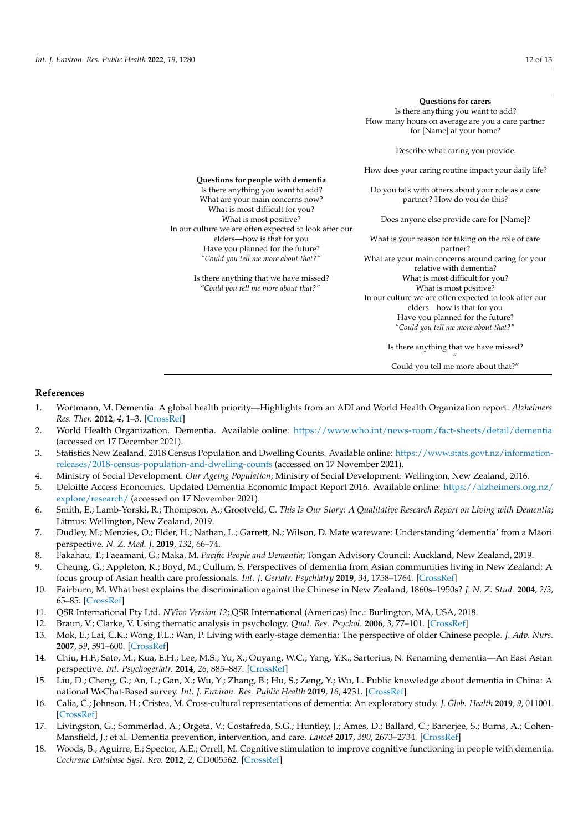|                                                        | <b>Questions for carers</b><br>Is there anything you want to add? |
|--------------------------------------------------------|-------------------------------------------------------------------|
|                                                        |                                                                   |
|                                                        | How many hours on average are you a care partner                  |
|                                                        | for [Name] at your home?                                          |
|                                                        | Describe what caring you provide.                                 |
|                                                        | How does your caring routine impact your daily life?              |
| Questions for people with dementia                     |                                                                   |
| Is there anything you want to add?                     | Do you talk with others about your role as a care                 |
| What are your main concerns now?                       | partner? How do you do this?                                      |
| What is most difficult for you?                        |                                                                   |
| What is most positive?                                 | Does anyone else provide care for [Name]?                         |
| In our culture we are often expected to look after our |                                                                   |
| elders-how is that for you                             | What is your reason for taking on the role of care                |
| Have you planned for the future?                       | partner?                                                          |
| "Could you tell me more about that?"                   | What are your main concerns around caring for your                |
|                                                        | relative with dementia?                                           |
| Is there anything that we have missed?                 | What is most difficult for you?                                   |
| "Could you tell me more about that?"                   | What is most positive?                                            |
|                                                        | In our culture we are often expected to look after our            |
|                                                        | elders-how is that for you                                        |
|                                                        | Have you planned for the future?                                  |
|                                                        | "Could you tell me more about that?"                              |
|                                                        |                                                                   |
|                                                        | Is there anything that we have missed?                            |
|                                                        | Could you tell me more about that?"                               |

## **References**

- <span id="page-11-0"></span>1. Wortmann, M. Dementia: A global health priority—Highlights from an ADI and World Health Organization report. *Alzheimers Res. Ther.* **2012**, *4*, 1–3. [\[CrossRef\]](http://doi.org/10.1186/alzrt143)
- <span id="page-11-1"></span>2. World Health Organization. Dementia. Available online: <https://www.who.int/news-room/fact-sheets/detail/dementia> (accessed on 17 December 2021).
- <span id="page-11-2"></span>3. Statistics New Zealand. 2018 Census Population and Dwelling Counts. Available online: [https://www.stats.govt.nz/information](https://www.stats.govt.nz/information-releases/2018-census-population-and-dwelling-counts)[releases/2018-census-population-and-dwelling-counts](https://www.stats.govt.nz/information-releases/2018-census-population-and-dwelling-counts) (accessed on 17 November 2021).
- <span id="page-11-3"></span>4. Ministry of Social Development. *Our Ageing Population*; Ministry of Social Development: Wellington, New Zealand, 2016.
- <span id="page-11-4"></span>5. Deloitte Access Economics. Updated Dementia Economic Impact Report 2016. Available online: [https://alzheimers.org.nz/](https://alzheimers.org.nz/explore/research/) [explore/research/](https://alzheimers.org.nz/explore/research/) (accessed on 17 November 2021).
- <span id="page-11-5"></span>6. Smith, E.; Lamb-Yorski, R.; Thompson, A.; Grootveld, C. *This Is Our Story: A Qualitative Research Report on Living with Dementia*; Litmus: Wellington, New Zealand, 2019.
- <span id="page-11-6"></span>7. Dudley, M.; Menzies, O.; Elder, H.; Nathan, L.; Garrett, N.; Wilson, D. Mate wareware: Understanding 'dementia' from a Maori ¯ perspective. *N. Z. Med. J.* **2019**, *132*, 66–74.
- <span id="page-11-7"></span>8. Fakahau, T.; Faeamani, G.; Maka, M. *Pacific People and Dementia*; Tongan Advisory Council: Auckland, New Zealand, 2019.
- <span id="page-11-8"></span>9. Cheung, G.; Appleton, K.; Boyd, M.; Cullum, S. Perspectives of dementia from Asian communities living in New Zealand: A focus group of Asian health care professionals. *Int. J. Geriatr. Psychiatry* **2019**, *34*, 1758–1764. [\[CrossRef\]](http://doi.org/10.1002/gps.5189)
- <span id="page-11-9"></span>10. Fairburn, M. What best explains the discrimination against the Chinese in New Zealand, 1860s–1950s? *J. N. Z. Stud.* **2004**, *2/3*, 65–85. [\[CrossRef\]](http://doi.org/10.26686/jnzs.v0i2/3.90)
- <span id="page-11-10"></span>11. QSR International Pty Ltd. *NVivo Version 12*; QSR International (Americas) Inc.: Burlington, MA, USA, 2018.
- <span id="page-11-11"></span>12. Braun, V.; Clarke, V. Using thematic analysis in psychology. *Qual. Res. Psychol.* **2006**, *3*, 77–101. [\[CrossRef\]](http://doi.org/10.1191/1478088706qp063oa)
- <span id="page-11-12"></span>13. Mok, E.; Lai, C.K.; Wong, F.L.; Wan, P. Living with early-stage dementia: The perspective of older Chinese people. *J. Adv. Nurs.* **2007**, *59*, 591–600. [\[CrossRef\]](http://doi.org/10.1111/j.1365-2648.2007.04368.x)
- <span id="page-11-13"></span>14. Chiu, H.F.; Sato, M.; Kua, E.H.; Lee, M.S.; Yu, X.; Ouyang, W.C.; Yang, Y.K.; Sartorius, N. Renaming dementia—An East Asian perspective. *Int. Psychogeriatr.* **2014**, *26*, 885–887. [\[CrossRef\]](http://doi.org/10.1017/S1041610214000453)
- <span id="page-11-14"></span>15. Liu, D.; Cheng, G.; An, L.; Gan, X.; Wu, Y.; Zhang, B.; Hu, S.; Zeng, Y.; Wu, L. Public knowledge about dementia in China: A national WeChat-Based survey. *Int. J. Environ. Res. Public Health* **2019**, *16*, 4231. [\[CrossRef\]](http://doi.org/10.3390/ijerph16214231)
- <span id="page-11-15"></span>16. Calia, C.; Johnson, H.; Cristea, M. Cross-cultural representations of dementia: An exploratory study. *J. Glob. Health* **2019**, *9*, 011001. [\[CrossRef\]](http://doi.org/10.7189/jogh.09.011001)
- <span id="page-11-16"></span>17. Livingston, G.; Sommerlad, A.; Orgeta, V.; Costafreda, S.G.; Huntley, J.; Ames, D.; Ballard, C.; Banerjee, S.; Burns, A.; Cohen-Mansfield, J.; et al. Dementia prevention, intervention, and care. *Lancet* **2017**, *390*, 2673–2734. [\[CrossRef\]](http://doi.org/10.1016/s0140-6736(17)31363-6)
- <span id="page-11-17"></span>18. Woods, B.; Aguirre, E.; Spector, A.E.; Orrell, M. Cognitive stimulation to improve cognitive functioning in people with dementia. *Cochrane Database Syst. Rev.* **2012**, *2*, CD005562. [\[CrossRef\]](http://doi.org/10.1002/14651858.CD005562.pub2)